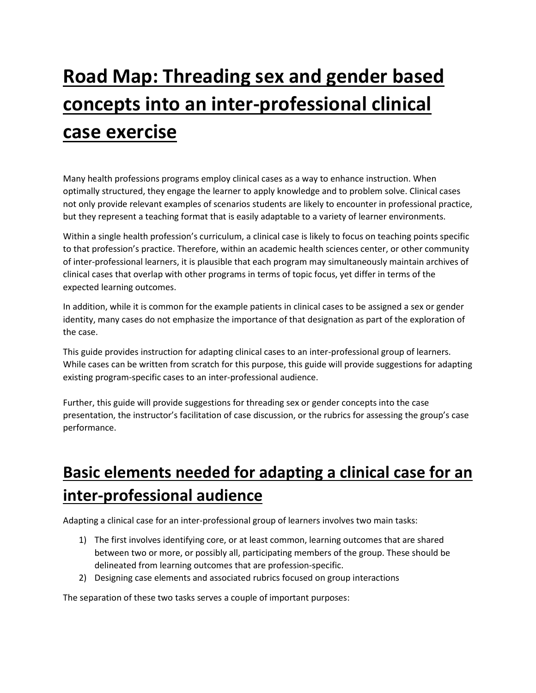# **Road Map: Threading sex and gender based concepts into an inter-professional clinical case exercise**

Many health professions programs employ clinical cases as a way to enhance instruction. When optimally structured, they engage the learner to apply knowledge and to problem solve. Clinical cases not only provide relevant examples of scenarios students are likely to encounter in professional practice, but they represent a teaching format that is easily adaptable to a variety of learner environments.

Within a single health profession's curriculum, a clinical case is likely to focus on teaching points specific to that profession's practice. Therefore, within an academic health sciences center, or other community of inter-professional learners, it is plausible that each program may simultaneously maintain archives of clinical cases that overlap with other programs in terms of topic focus, yet differ in terms of the expected learning outcomes.

In addition, while it is common for the example patients in clinical cases to be assigned a sex or gender identity, many cases do not emphasize the importance of that designation as part of the exploration of the case.

This guide provides instruction for adapting clinical cases to an inter-professional group of learners. While cases can be written from scratch for this purpose, this guide will provide suggestions for adapting existing program-specific cases to an inter-professional audience.

Further, this guide will provide suggestions for threading sex or gender concepts into the case presentation, the instructor's facilitation of case discussion, or the rubrics for assessing the group's case performance.

## **Basic elements needed for adapting a clinical case for an inter-professional audience**

Adapting a clinical case for an inter-professional group of learners involves two main tasks:

- 1) The first involves identifying core, or at least common, learning outcomes that are shared between two or more, or possibly all, participating members of the group. These should be delineated from learning outcomes that are profession-specific.
- 2) Designing case elements and associated rubrics focused on group interactions

The separation of these two tasks serves a couple of important purposes: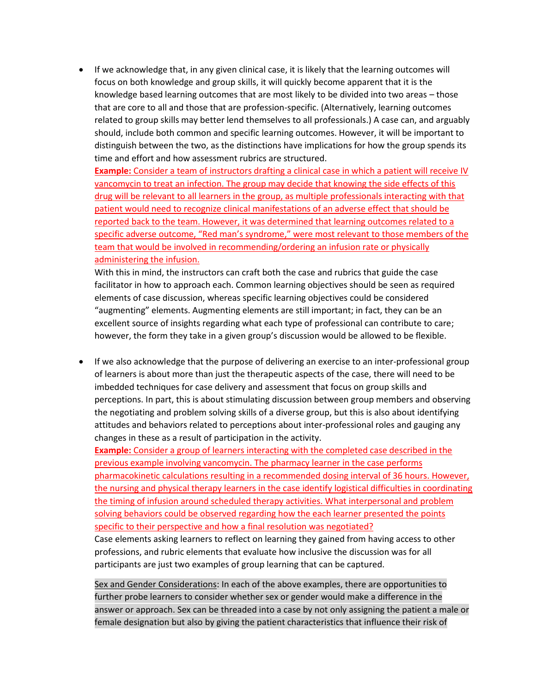• If we acknowledge that, in any given clinical case, it is likely that the learning outcomes will focus on both knowledge and group skills, it will quickly become apparent that it is the knowledge based learning outcomes that are most likely to be divided into two areas – those that are core to all and those that are profession-specific. (Alternatively, learning outcomes related to group skills may better lend themselves to all professionals.) A case can, and arguably should, include both common and specific learning outcomes. However, it will be important to distinguish between the two, as the distinctions have implications for how the group spends its time and effort and how assessment rubrics are structured.

**Example:** Consider a team of instructors drafting a clinical case in which a patient will receive IV vancomycin to treat an infection. The group may decide that knowing the side effects of this drug will be relevant to all learners in the group, as multiple professionals interacting with that patient would need to recognize clinical manifestations of an adverse effect that should be reported back to the team. However, it was determined that learning outcomes related to a specific adverse outcome, "Red man's syndrome," were most relevant to those members of the team that would be involved in recommending/ordering an infusion rate or physically administering the infusion.

With this in mind, the instructors can craft both the case and rubrics that guide the case facilitator in how to approach each. Common learning objectives should be seen as required elements of case discussion, whereas specific learning objectives could be considered "augmenting" elements. Augmenting elements are still important; in fact, they can be an excellent source of insights regarding what each type of professional can contribute to care; however, the form they take in a given group's discussion would be allowed to be flexible.

• If we also acknowledge that the purpose of delivering an exercise to an inter-professional group of learners is about more than just the therapeutic aspects of the case, there will need to be imbedded techniques for case delivery and assessment that focus on group skills and perceptions. In part, this is about stimulating discussion between group members and observing the negotiating and problem solving skills of a diverse group, but this is also about identifying attitudes and behaviors related to perceptions about inter-professional roles and gauging any changes in these as a result of participation in the activity.

**Example:** Consider a group of learners interacting with the completed case described in the previous example involving vancomycin. The pharmacy learner in the case performs pharmacokinetic calculations resulting in a recommended dosing interval of 36 hours. However, the nursing and physical therapy learners in the case identify logistical difficulties in coordinating the timing of infusion around scheduled therapy activities. What interpersonal and problem solving behaviors could be observed regarding how the each learner presented the points specific to their perspective and how a final resolution was negotiated?

Case elements asking learners to reflect on learning they gained from having access to other professions, and rubric elements that evaluate how inclusive the discussion was for all participants are just two examples of group learning that can be captured.

Sex and Gender Considerations: In each of the above examples, there are opportunities to further probe learners to consider whether sex or gender would make a difference in the answer or approach. Sex can be threaded into a case by not only assigning the patient a male or female designation but also by giving the patient characteristics that influence their risk of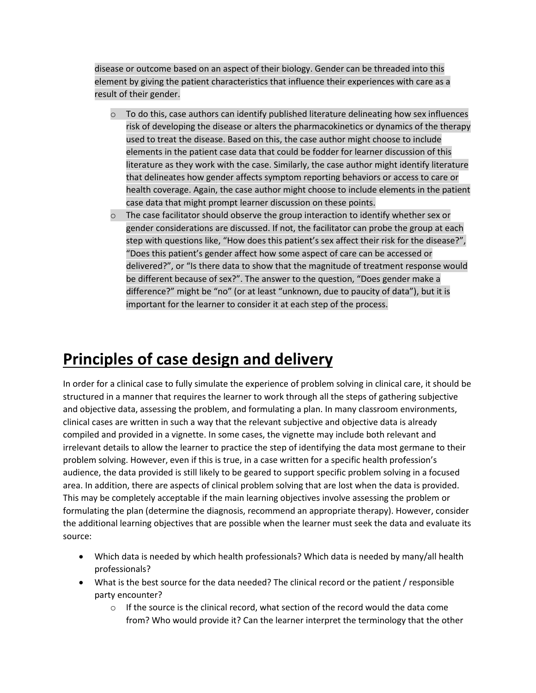disease or outcome based on an aspect of their biology. Gender can be threaded into this element by giving the patient characteristics that influence their experiences with care as a result of their gender.

- $\circ$  To do this, case authors can identify published literature delineating how sex influences risk of developing the disease or alters the pharmacokinetics or dynamics of the therapy used to treat the disease. Based on this, the case author might choose to include elements in the patient case data that could be fodder for learner discussion of this literature as they work with the case. Similarly, the case author might identify literature that delineates how gender affects symptom reporting behaviors or access to care or health coverage. Again, the case author might choose to include elements in the patient case data that might prompt learner discussion on these points.
- $\circ$  The case facilitator should observe the group interaction to identify whether sex or gender considerations are discussed. If not, the facilitator can probe the group at each step with questions like, "How does this patient's sex affect their risk for the disease?", "Does this patient's gender affect how some aspect of care can be accessed or delivered?", or "Is there data to show that the magnitude of treatment response would be different because of sex?". The answer to the question, "Does gender make a difference?" might be "no" (or at least "unknown, due to paucity of data"), but it is important for the learner to consider it at each step of the process.

### **Principles of case design and delivery**

In order for a clinical case to fully simulate the experience of problem solving in clinical care, it should be structured in a manner that requires the learner to work through all the steps of gathering subjective and objective data, assessing the problem, and formulating a plan. In many classroom environments, clinical cases are written in such a way that the relevant subjective and objective data is already compiled and provided in a vignette. In some cases, the vignette may include both relevant and irrelevant details to allow the learner to practice the step of identifying the data most germane to their problem solving. However, even if this is true, in a case written for a specific health profession's audience, the data provided is still likely to be geared to support specific problem solving in a focused area. In addition, there are aspects of clinical problem solving that are lost when the data is provided. This may be completely acceptable if the main learning objectives involve assessing the problem or formulating the plan (determine the diagnosis, recommend an appropriate therapy). However, consider the additional learning objectives that are possible when the learner must seek the data and evaluate its source:

- Which data is needed by which health professionals? Which data is needed by many/all health professionals?
- What is the best source for the data needed? The clinical record or the patient / responsible party encounter?
	- $\circ$  If the source is the clinical record, what section of the record would the data come from? Who would provide it? Can the learner interpret the terminology that the other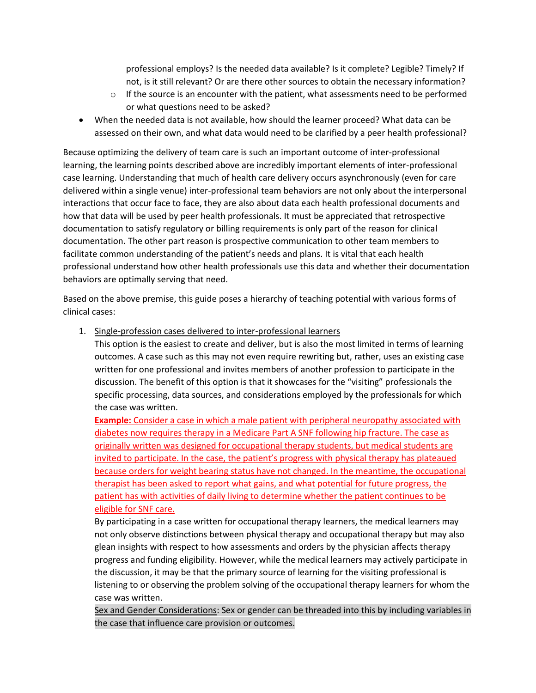professional employs? Is the needed data available? Is it complete? Legible? Timely? If not, is it still relevant? Or are there other sources to obtain the necessary information?

- $\circ$  If the source is an encounter with the patient, what assessments need to be performed or what questions need to be asked?
- When the needed data is not available, how should the learner proceed? What data can be assessed on their own, and what data would need to be clarified by a peer health professional?

Because optimizing the delivery of team care is such an important outcome of inter-professional learning, the learning points described above are incredibly important elements of inter-professional case learning. Understanding that much of health care delivery occurs asynchronously (even for care delivered within a single venue) inter-professional team behaviors are not only about the interpersonal interactions that occur face to face, they are also about data each health professional documents and how that data will be used by peer health professionals. It must be appreciated that retrospective documentation to satisfy regulatory or billing requirements is only part of the reason for clinical documentation. The other part reason is prospective communication to other team members to facilitate common understanding of the patient's needs and plans. It is vital that each health professional understand how other health professionals use this data and whether their documentation behaviors are optimally serving that need.

Based on the above premise, this guide poses a hierarchy of teaching potential with various forms of clinical cases:

1. Single-profession cases delivered to inter-professional learners

This option is the easiest to create and deliver, but is also the most limited in terms of learning outcomes. A case such as this may not even require rewriting but, rather, uses an existing case written for one professional and invites members of another profession to participate in the discussion. The benefit of this option is that it showcases for the "visiting" professionals the specific processing, data sources, and considerations employed by the professionals for which the case was written.

**Example:** Consider a case in which a male patient with peripheral neuropathy associated with diabetes now requires therapy in a Medicare Part A SNF following hip fracture. The case as originally written was designed for occupational therapy students, but medical students are invited to participate. In the case, the patient's progress with physical therapy has plateaued because orders for weight bearing status have not changed. In the meantime, the occupational therapist has been asked to report what gains, and what potential for future progress, the patient has with activities of daily living to determine whether the patient continues to be eligible for SNF care.

By participating in a case written for occupational therapy learners, the medical learners may not only observe distinctions between physical therapy and occupational therapy but may also glean insights with respect to how assessments and orders by the physician affects therapy progress and funding eligibility. However, while the medical learners may actively participate in the discussion, it may be that the primary source of learning for the visiting professional is listening to or observing the problem solving of the occupational therapy learners for whom the case was written.

Sex and Gender Considerations: Sex or gender can be threaded into this by including variables in the case that influence care provision or outcomes.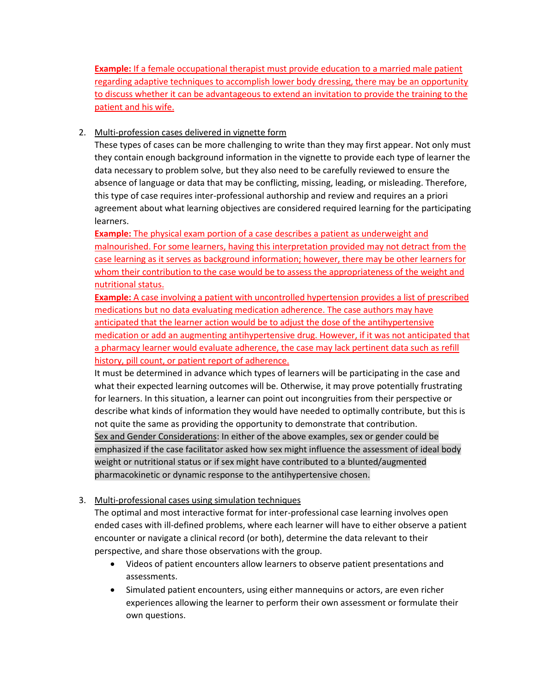**Example:** If a female occupational therapist must provide education to a married male patient regarding adaptive techniques to accomplish lower body dressing, there may be an opportunity to discuss whether it can be advantageous to extend an invitation to provide the training to the patient and his wife.

#### 2. Multi-profession cases delivered in vignette form

These types of cases can be more challenging to write than they may first appear. Not only must they contain enough background information in the vignette to provide each type of learner the data necessary to problem solve, but they also need to be carefully reviewed to ensure the absence of language or data that may be conflicting, missing, leading, or misleading. Therefore, this type of case requires inter-professional authorship and review and requires an a priori agreement about what learning objectives are considered required learning for the participating learners.

**Example:** The physical exam portion of a case describes a patient as underweight and malnourished. For some learners, having this interpretation provided may not detract from the case learning as it serves as background information; however, there may be other learners for whom their contribution to the case would be to assess the appropriateness of the weight and nutritional status.

**Example:** A case involving a patient with uncontrolled hypertension provides a list of prescribed medications but no data evaluating medication adherence. The case authors may have anticipated that the learner action would be to adjust the dose of the antihypertensive medication or add an augmenting antihypertensive drug. However, if it was not anticipated that a pharmacy learner would evaluate adherence, the case may lack pertinent data such as refill history, pill count, or patient report of adherence.

It must be determined in advance which types of learners will be participating in the case and what their expected learning outcomes will be. Otherwise, it may prove potentially frustrating for learners. In this situation, a learner can point out incongruities from their perspective or describe what kinds of information they would have needed to optimally contribute, but this is not quite the same as providing the opportunity to demonstrate that contribution. Sex and Gender Considerations: In either of the above examples, sex or gender could be emphasized if the case facilitator asked how sex might influence the assessment of ideal body weight or nutritional status or if sex might have contributed to a blunted/augmented pharmacokinetic or dynamic response to the antihypertensive chosen.

### 3. Multi-professional cases using simulation techniques

The optimal and most interactive format for inter-professional case learning involves open ended cases with ill-defined problems, where each learner will have to either observe a patient encounter or navigate a clinical record (or both), determine the data relevant to their perspective, and share those observations with the group.

- Videos of patient encounters allow learners to observe patient presentations and assessments.
- Simulated patient encounters, using either mannequins or actors, are even richer experiences allowing the learner to perform their own assessment or formulate their own questions.